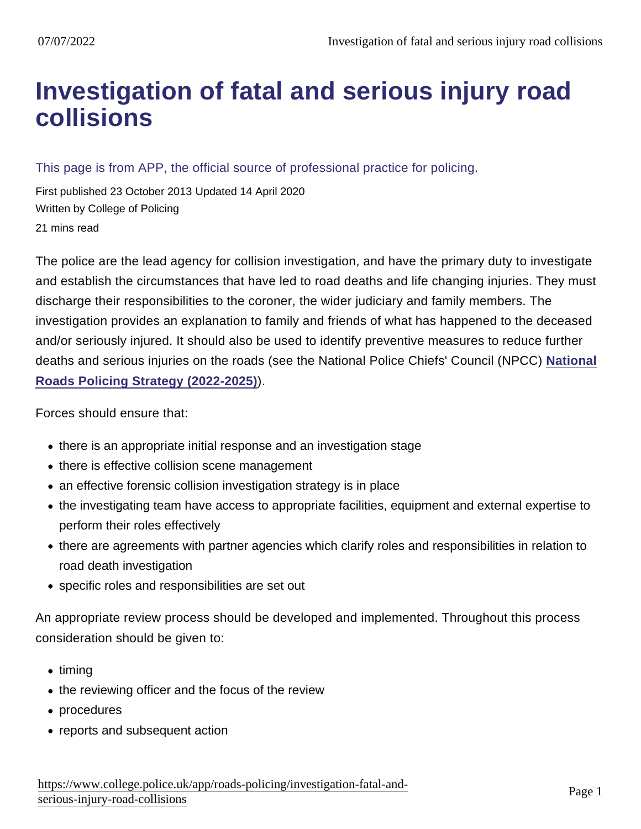# [Investigation of fatal and serious injury road](https://www.college.police.uk/app/roads-policing/investigation-fatal-and-serious-injury-road-collisions) collisions

This page is from APP, the official source of professional practice for policing.

First published 23 October 2013 Updated 14 April 2020 Written by College of Policing 21 mins read

The police are the lead agency for collision investigation, and have the primary duty to investigate and establish the circumstances that have led to road deaths and life changing injuries. They must discharge their responsibilities to the coroner, the wider judiciary and family members. The investigation provides an explanation to family and friends of what has happened to the deceased and/or seriously injured. It should also be used to identify preventive measures to reduce further deaths and serious injuries on the roads (see the National Police Chiefs' Council (NPCC) [National](https://library.college.police.uk/docs/NPCC/Roads_Policing_Strategy_2022.25.pdf) [Roads Policing Strategy \(2022-2025\)](https://library.college.police.uk/docs/NPCC/Roads_Policing_Strategy_2022.25.pdf) ).

Forces should ensure that:

- there is an appropriate initial response and an investigation stage
- there is effective collision scene management
- an effective forensic collision investigation strategy is in place
- the investigating team have access to appropriate facilities, equipment and external expertise to perform their roles effectively
- there are agreements with partner agencies which clarify roles and responsibilities in relation to road death investigation
- specific roles and responsibilities are set out

An appropriate review process should be developed and implemented. Throughout this process consideration should be given to:

- $\bullet$  timing
- the reviewing officer and the focus of the review
- procedures
- reports and subsequent action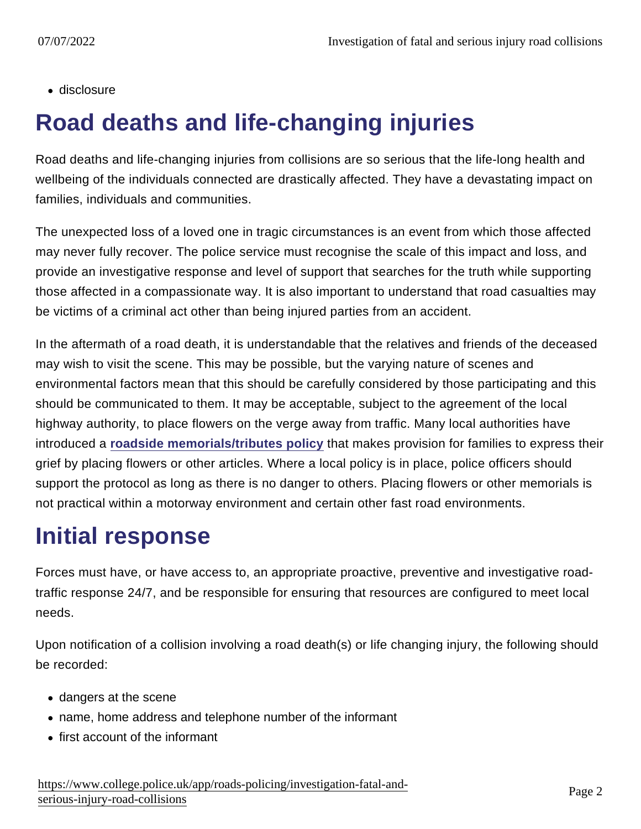• disclosure

# Road deaths and life-changing injuries

Road deaths and life-changing injuries from collisions are so serious that the life-long health and wellbeing of the individuals connected are drastically affected. They have a devastating impact on families, individuals and communities.

The unexpected loss of a loved one in tragic circumstances is an event from which those affected may never fully recover. The police service must recognise the scale of this impact and loss, and provide an investigative response and level of support that searches for the truth while supporting those affected in a compassionate way. It is also important to understand that road casualties may be victims of a criminal act other than being injured parties from an accident.

In the aftermath of a road death, it is understandable that the relatives and friends of the deceased may wish to visit the scene. This may be possible, but the varying nature of scenes and environmental factors mean that this should be carefully considered by those participating and this should be communicated to them. It may be acceptable, subject to the agreement of the local highway authority, to place flowers on the verge away from traffic. Many local authorities have introduced a [roadside memorials/tributes policy](http://www.bolton.gov.uk/sites/DocumentCentre/Documents/Roadside Tributes Policy.pdf) that makes provision for families to express their grief by placing flowers or other articles. Where a local policy is in place, police officers should support the protocol as long as there is no danger to others. Placing flowers or other memorials is not practical within a motorway environment and certain other fast road environments.

# Initial response

Forces must have, or have access to, an appropriate proactive, preventive and investigative roadtraffic response 24/7, and be responsible for ensuring that resources are configured to meet local needs.

Upon notification of a collision involving a road death(s) or life changing injury, the following should be recorded:

- dangers at the scene
- name, home address and telephone number of the informant
- first account of the informant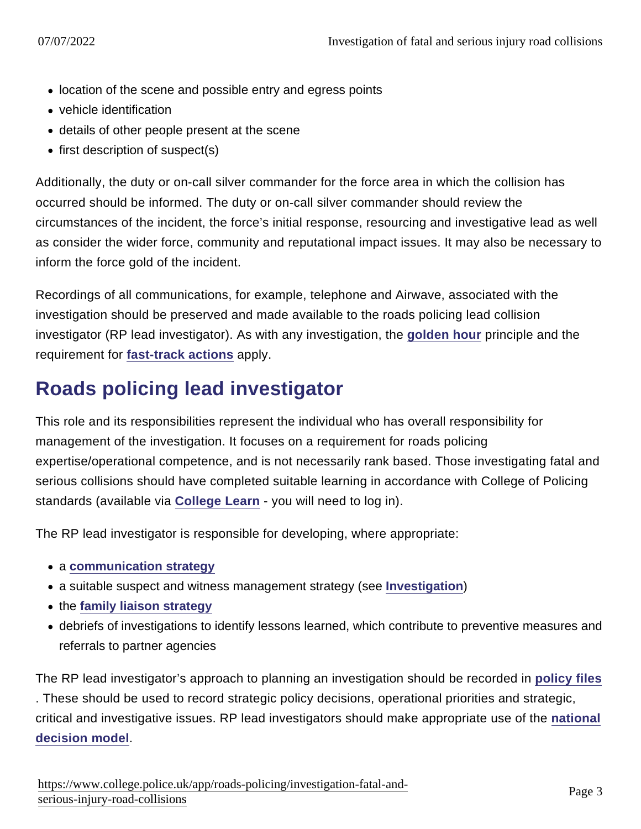- location of the scene and possible entry and egress points
- vehicle identification
- details of other people present at the scene
- $\bullet$  first description of suspect(s)

Additionally, the duty or on-call silver commander for the force area in which the collision has occurred should be informed. The duty or on-call silver commander should review the circumstances of the incident, the force's initial response, resourcing and investigative lead as well as consider the wider force, community and reputational impact issues. It may also be necessary to inform the force gold of the incident.

Recordings of all communications, for example, telephone and Airwave, associated with the investigation should be preserved and made available to the roads policing lead collision investigator (RP lead investigator). As with any investigation, the [golden hour](https://www.app.college.police.uk/app-content/investigations/investigation-process/#golden-hour) principle and the requirement for [fast-track actions](https://www.app.college.police.uk/app-content/investigations/investigation-process/#fast-track-actions) apply.

# Roads policing lead investigator

This role and its responsibilities represent the individual who has overall responsibility for management of the investigation. It focuses on a requirement for roads policing expertise/operational competence, and is not necessarily rank based. Those investigating fatal and serious collisions should have completed suitable learning in accordance with College of Policing standards (available via [College Learn](https://www.learn.college.pnn.police.uk/Account/Login) - you will need to log in).

The RP lead investigator is responsible for developing, where appropriate:

- a [communication strategy](https://www.app.college.police.uk/app-content/investigations/investigative-strategies/communications-strategy/)
- a suitable suspect and witness management strategy (see [Investigation](https://www.app.college.police.uk/app-content/investigations/))
- the [family liaison strategy](https://www.app.college.police.uk/app-content/investigations/victims-and-witnesses/#family-liaison-strategy)
- debriefs of investigations to identify lessons learned, which contribute to preventive measures and referrals to partner agencies

The RP lead investigator's approach to planning an investigation should be recorded in [policy files](https://www.app.college.police.uk/app-content/investigations/managing-investigations/#policy-files) . These should be used to record strategic policy decisions, operational priorities and strategic, critical and investigative issues. RP lead investigators should make appropriate use of the [national](https://www.app.college.police.uk/app-content/the-national-decision-model/) [decision model](https://www.app.college.police.uk/app-content/the-national-decision-model/) .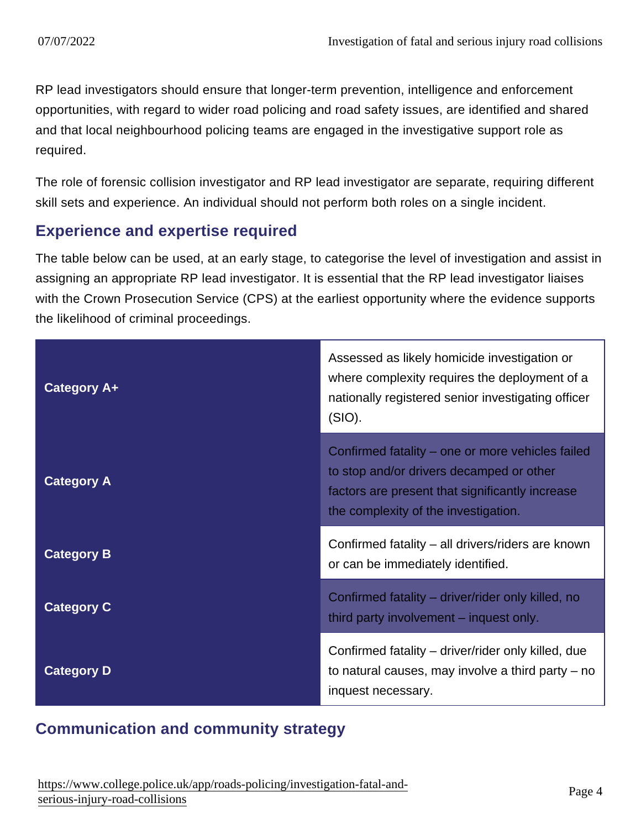RP lead investigators should ensure that longer-term prevention, intelligence and enforcement opportunities, with regard to wider road policing and road safety issues, are identified and shared and that local neighbourhood policing teams are engaged in the investigative support role as required.

The role of forensic collision investigator and RP lead investigator are separate, requiring different skill sets and experience. An individual should not perform both roles on a single incident.

#### Experience and expertise required

The table below can be used, at an early stage, to categorise the level of investigation and assist in assigning an appropriate RP lead investigator. It is essential that the RP lead investigator liaises with the Crown Prosecution Service (CPS) at the earliest opportunity where the evidence supports the likelihood of criminal proceedings.

| Category A+ | Assessed as likely homicide investigation or<br>where complexity requires the deployment of a<br>nationally registered senior investigating officer<br>(SIO).                           |
|-------------|-----------------------------------------------------------------------------------------------------------------------------------------------------------------------------------------|
| Category A  | Confirmed fatality – one or more vehicles failed<br>to stop and/or drivers decamped or other<br>factors are present that significantly increase<br>the complexity of the investigation. |
| Category B  | Confirmed fatality – all drivers/riders are known<br>or can be immediately identified.                                                                                                  |
| Category C  | Confirmed fatality – driver/rider only killed, no<br>third party involvement – inquest only.                                                                                            |
| Category D  | Confirmed fatality - driver/rider only killed, due<br>to natural causes, may involve a third party $-$ no<br>inquest necessary.                                                         |

### Communication and community strategy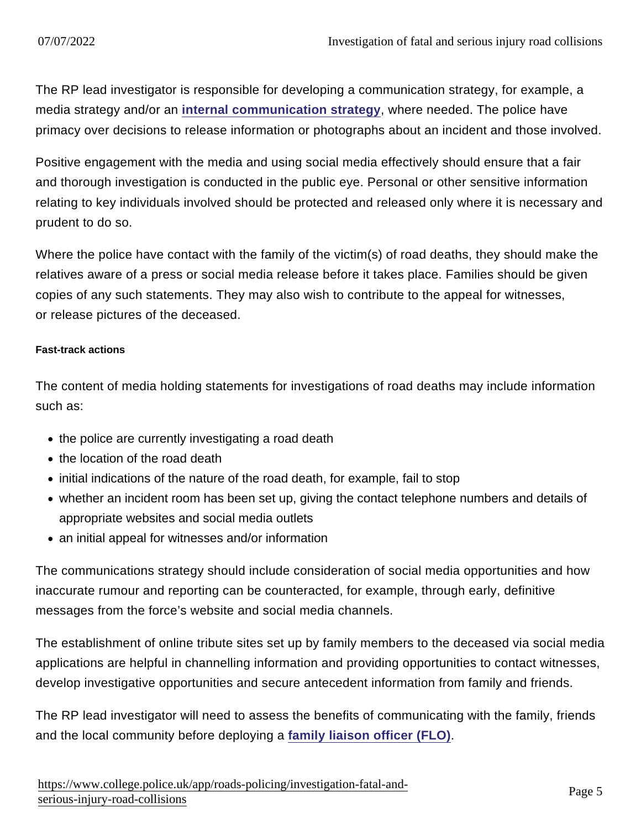The RP lead investigator is responsible for developing a communication strategy, for example, a media strategy and/or an [internal communication strategy](https://www.app.college.police.uk/app-content/investigations/investigative-strategies/communications-strategy/#internal-communications) , where needed. The police have primacy over decisions to release information or photographs about an incident and those involved.

Positive engagement with the media and using social media effectively should ensure that a fair and thorough investigation is conducted in the public eye. Personal or other sensitive information relating to key individuals involved should be protected and released only where it is necessary and prudent to do so.

Where the police have contact with the family of the victim(s) of road deaths, they should make the relatives aware of a press or social media release before it takes place. Families should be given copies of any such statements. They may also wish to contribute to the appeal for witnesses, or release pictures of the deceased.

#### Fast-track actions

The content of media holding statements for investigations of road deaths may include information such as:

- the police are currently investigating a road death
- the location of the road death
- initial indications of the nature of the road death, for example, fail to stop
- whether an incident room has been set up, giving the contact telephone numbers and details of appropriate websites and social media outlets
- an initial appeal for witnesses and/or information

The communications strategy should include consideration of social media opportunities and how inaccurate rumour and reporting can be counteracted, for example, through early, definitive messages from the force's website and social media channels.

The establishment of online tribute sites set up by family members to the deceased via social media applications are helpful in channelling information and providing opportunities to contact witnesses, develop investigative opportunities and secure antecedent information from family and friends.

The RP lead investigator will need to assess the benefits of communicating with the family, friends and the local community before deploying a [family liaison officer \(FLO\)](https://www.app.college.police.uk/app-content/investigations/victims-and-witnesses/#family-liaison-officer) .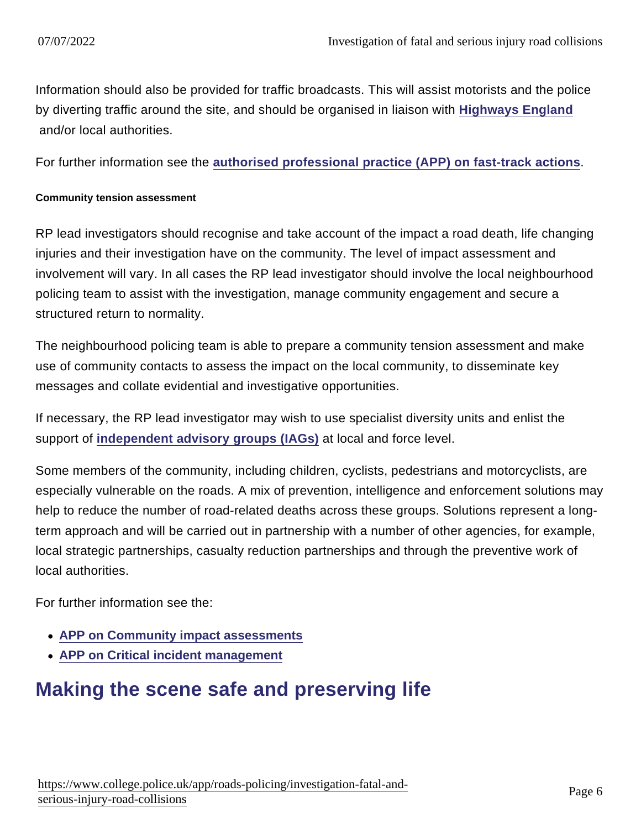Information should also be provided for traffic broadcasts. This will assist motorists and the police by diverting traffic around the site, and should be organised in liaison with [Highways England](https://www.app.college.police.uk/app-content/road-policing-2/partner-agencies/#highways-england) and/or local authorities.

For further information see the [authorised professional practice \(APP\) on fast-track actions](https://www.app.college.police.uk/app-content/investigations/investigation-process/#fast-track-actions) .

#### Community tension assessment

RP lead investigators should recognise and take account of the impact a road death, life changing injuries and their investigation have on the community. The level of impact assessment and involvement will vary. In all cases the RP lead investigator should involve the local neighbourhood policing team to assist with the investigation, manage community engagement and secure a structured return to normality.

The neighbourhood policing team is able to prepare a community tension assessment and make use of community contacts to assess the impact on the local community, to disseminate key messages and collate evidential and investigative opportunities.

If necessary, the RP lead investigator may wish to use specialist diversity units and enlist the support of [independent advisory groups \(IAGs\)](https://www.app.college.police.uk/app-content/engagement-and-communication/communications/#independent-advisory-groups) at local and force level.

Some members of the community, including children, cyclists, pedestrians and motorcyclists, are especially vulnerable on the roads. A mix of prevention, intelligence and enforcement solutions may help to reduce the number of road-related deaths across these groups. Solutions represent a longterm approach and will be carried out in partnership with a number of other agencies, for example, local strategic partnerships, casualty reduction partnerships and through the preventive work of local authorities.

For further information see the:

- [APP on Community impact assessments](https://www.app.college.police.uk/app-content/operations/operational-planning/strategic-planning/#community-impact-assessments)
- [APP on Critical incident management](https://www.app.college.police.uk/app-content/critical-incident-management/?s=)

## Making the scene safe and preserving life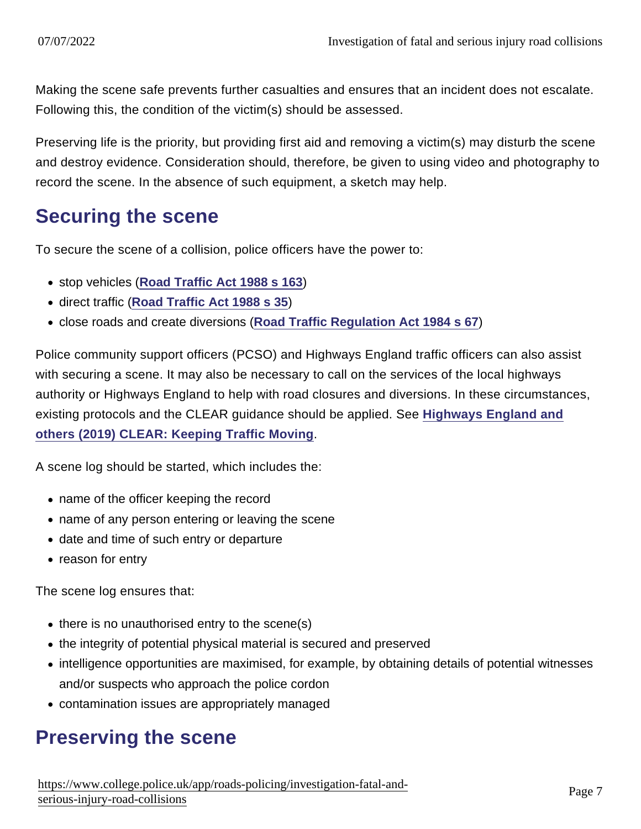Making the scene safe prevents further casualties and ensures that an incident does not escalate. Following this, the condition of the victim(s) should be assessed.

Preserving life is the priority, but providing first aid and removing a victim(s) may disturb the scene and destroy evidence. Consideration should, therefore, be given to using video and photography to record the scene. In the absence of such equipment, a sketch may help.

### Securing the scene

To secure the scene of a collision, police officers have the power to:

- stop vehicles [\(Road Traffic Act 1988 s 163](http://www.legislation.gov.uk/ukpga/1988/52/section/163))
- direct traffic ([Road Traffic Act 1988 s 35](http://www.legislation.gov.uk/ukpga/1988/52/section/35))
- close roads and create diversions ([Road Traffic Regulation Act 1984 s 67](http://www.legislation.gov.uk/ukpga/1984/27/section/67))

Police community support officers (PCSO) and Highways England traffic officers can also assist with securing a scene. It may also be necessary to call on the services of the local highways authority or Highways England to help with road closures and diversions. In these circumstances, existing protocols and the CLEAR guidance should be applied. See [Highways England and](https://library.college.police.uk/docs/APPref/CLEAR-Leaflet-March-2019.pdf) [others \(2019\) CLEAR: Keeping Traffic Moving](https://library.college.police.uk/docs/APPref/CLEAR-Leaflet-March-2019.pdf) .

A scene log should be started, which includes the:

- name of the officer keeping the record
- name of any person entering or leaving the scene
- date and time of such entry or departure
- reason for entry

The scene log ensures that:

- there is no unauthorised entry to the scene(s)
- the integrity of potential physical material is secured and preserved
- intelligence opportunities are maximised, for example, by obtaining details of potential witnesses and/or suspects who approach the police cordon
- contamination issues are appropriately managed

## Preserving the scene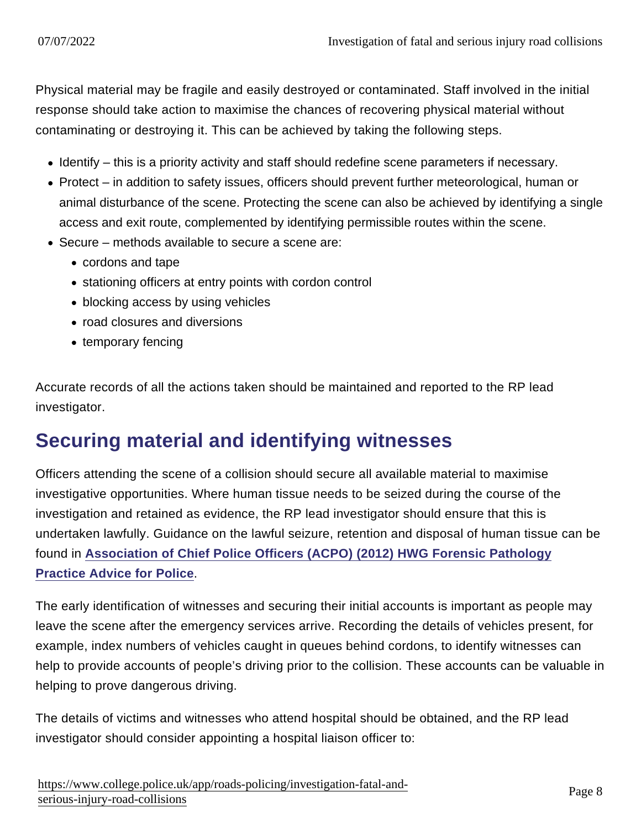Physical material may be fragile and easily destroyed or contaminated. Staff involved in the initial response should take action to maximise the chances of recovering physical material without contaminating or destroying it. This can be achieved by taking the following steps.

- Identify this is a priority activity and staff should redefine scene parameters if necessary.
- Protect in addition to safety issues, officers should prevent further meteorological, human or animal disturbance of the scene. Protecting the scene can also be achieved by identifying a single access and exit route, complemented by identifying permissible routes within the scene.
- Secure methods available to secure a scene are:
	- cordons and tape
	- stationing officers at entry points with cordon control
	- blocking access by using vehicles
	- road closures and diversions
	- temporary fencing

Accurate records of all the actions taken should be maintained and reported to the RP lead investigator.

## Securing material and identifying witnesses

Officers attending the scene of a collision should secure all available material to maximise investigative opportunities. Where human tissue needs to be seized during the course of the investigation and retained as evidence, the RP lead investigator should ensure that this is undertaken lawfully. Guidance on the lawful seizure, retention and disposal of human tissue can be found in [Association of Chief Police Officers \(ACPO\) \(2012\) HWG Forensic Pathology](https://library.college.police.uk/docs/ACPO/ACPO-Forensic-Pathology-Practice-Advice-2013.pdf) [Practice Advice for Police](https://library.college.police.uk/docs/ACPO/ACPO-Forensic-Pathology-Practice-Advice-2013.pdf) .

The early identification of witnesses and securing their initial accounts is important as people may leave the scene after the emergency services arrive. Recording the details of vehicles present, for example, index numbers of vehicles caught in queues behind cordons, to identify witnesses can help to provide accounts of people's driving prior to the collision. These accounts can be valuable in helping to prove dangerous driving.

The details of victims and witnesses who attend hospital should be obtained, and the RP lead investigator should consider appointing a hospital liaison officer to: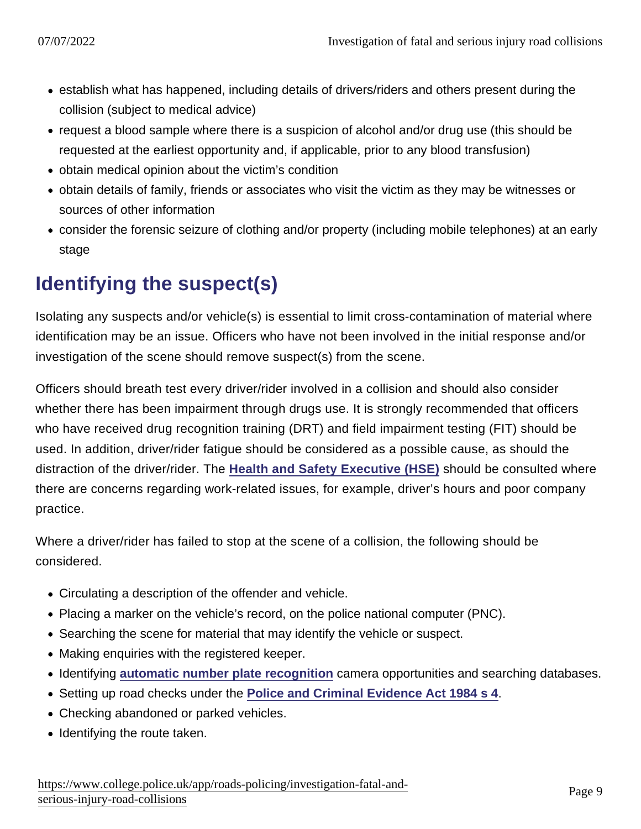- establish what has happened, including details of drivers/riders and others present during the collision (subject to medical advice)
- request a blood sample where there is a suspicion of alcohol and/or drug use (this should be requested at the earliest opportunity and, if applicable, prior to any blood transfusion)
- obtain medical opinion about the victim's condition
- obtain details of family, friends or associates who visit the victim as they may be witnesses or sources of other information
- consider the forensic seizure of clothing and/or property (including mobile telephones) at an early stage

## Identifying the suspect(s)

Isolating any suspects and/or vehicle(s) is essential to limit cross-contamination of material where identification may be an issue. Officers who have not been involved in the initial response and/or investigation of the scene should remove suspect(s) from the scene.

Officers should breath test every driver/rider involved in a collision and should also consider whether there has been impairment through drugs use. It is strongly recommended that officers who have received drug recognition training (DRT) and field impairment testing (FIT) should be used. In addition, driver/rider fatigue should be considered as a possible cause, as should the distraction of the driver/rider. The [Health and Safety Executive \(HSE\)](https://www.app.college.police.uk/app-content/road-policing-2/partner-agencies/#health-and-safety-executive) should be consulted where there are concerns regarding work-related issues, for example, driver's hours and poor company practice.

Where a driver/rider has failed to stop at the scene of a collision, the following should be considered.

- Circulating a description of the offender and vehicle.
- Placing a marker on the vehicle's record, on the police national computer (PNC).
- Searching the scene for material that may identify the vehicle or suspect.
- Making enquiries with the registered keeper.
- Identifying [automatic number plate recognition](https://www.app.college.police.uk/app-content/road-policing-2/disrupting-criminality/#automatic-number-plate-recognition-) camera opportunities and searching databases.
- Setting up road checks under the [Police and Criminal Evidence Act 1984 s 4](http://www.legislation.gov.uk/ukpga/1984/60/section/4)
- Checking abandoned or parked vehicles.
- Identifying the route taken.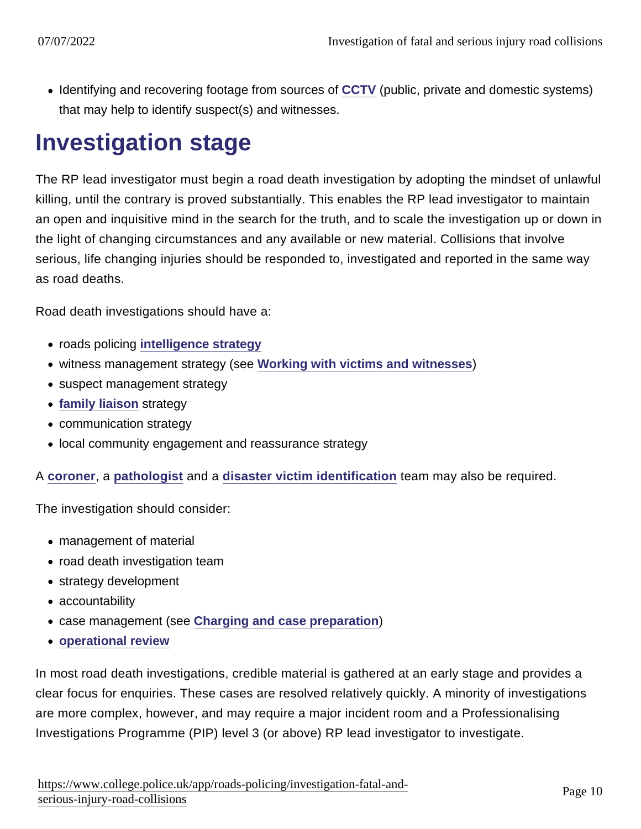• Identifying and recovering footage from sources of [CCTV](https://www.app.college.police.uk/app-content/investigations/investigative-strategies/passive-data-generators/#cctv) (public, private and domestic systems) that may help to identify suspect(s) and witnesses.

# Investigation stage

The RP lead investigator must begin a road death investigation by adopting the mindset of unlawful killing, until the contrary is proved substantially. This enables the RP lead investigator to maintain an open and inquisitive mind in the search for the truth, and to scale the investigation up or down in the light of changing circumstances and any available or new material. Collisions that involve serious, life changing injuries should be responded to, investigated and reported in the same way as road deaths.

Road death investigations should have a:

- roads policing [intelligence strategy](https://www.app.college.police.uk/app-content/investigations/investigative-strategies/intelligence-strategy/)
- witness management strategy (see [Working with victims and witnesses](https://www.app.college.police.uk/app-content/investigations/victims-and-witnesses/)
- suspect management strategy
- [family liaison](https://www.app.college.police.uk/app-content/investigations/victims-and-witnesses/#family-liaison) strategy
- communication strategy
- local community engagement and reassurance strategy

A [coroner](https://www.app.college.police.uk/app-content/civil-contingencies/disaster-victim-identification/#coroner) , a [pathologist](https://www.app.college.police.uk/app-content/civil-contingencies/disaster-victim-identification/post-mortem-procedures/#pathologist) and a [disaster victim identification](https://www.app.college.police.uk/app-content/civil-contingencies/disaster-victim-identification/) team may also be required.

The investigation should consider:

- management of material
- road death investigation team
- strategy development
- accountability
- case management (see [Charging and case preparation](https://www.app.college.police.uk/app-content/prosecution-and-case-management/charging-and-case-preparation/))
- [operational review](https://www.app.college.police.uk/app-content/operations/operational-review/)

In most road death investigations, credible material is gathered at an early stage and provides a clear focus for enquiries. These cases are resolved relatively quickly. A minority of investigations are more complex, however, and may require a major incident room and a Professionalising Investigations Programme (PIP) level 3 (or above) RP lead investigator to investigate.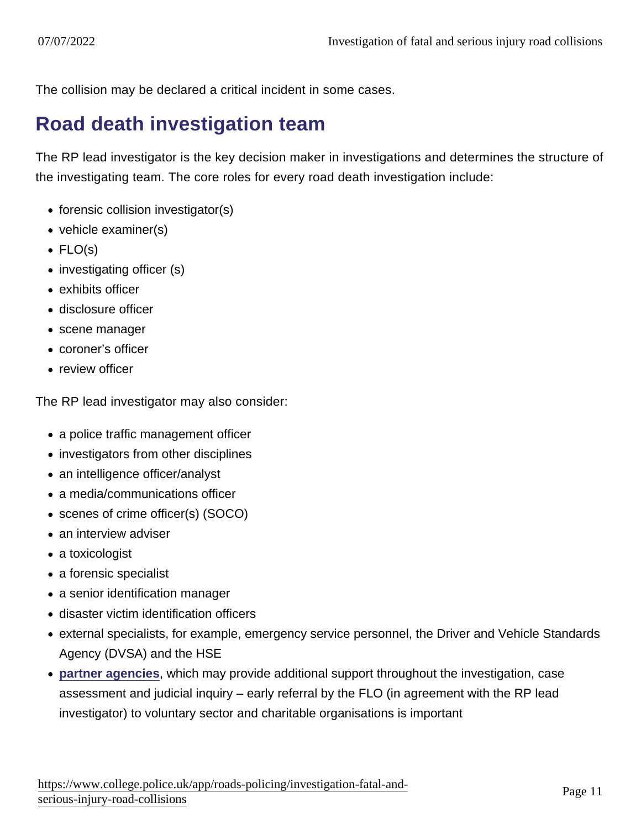The collision may be declared a critical incident in some cases.

### Road death investigation team

The RP lead investigator is the key decision maker in investigations and determines the structure of the investigating team. The core roles for every road death investigation include:

- $\bullet$  forensic collision investigator(s)
- vehicle examiner(s)
- $\bullet$  FLO(s)
- investigating officer (s)
- exhibits officer
- disclosure officer
- scene manager
- coroner's officer
- review officer

The RP lead investigator may also consider:

- a police traffic management officer
- investigators from other disciplines
- an intelligence officer/analyst
- a media/communications officer
- scenes of crime officer(s) (SOCO)
- an interview adviser
- a toxicologist
- a forensic specialist
- a senior identification manager
- disaster victim identification officers
- external specialists, for example, emergency service personnel, the Driver and Vehicle Standards Agency (DVSA) and the HSE
- [partner agencies](https://www.app.college.police.uk/app-content/road-policing-2/partner-agencies/) , which may provide additional support throughout the investigation, case assessment and judicial inquiry – early referral by the FLO (in agreement with the RP lead investigator) to voluntary sector and charitable organisations is important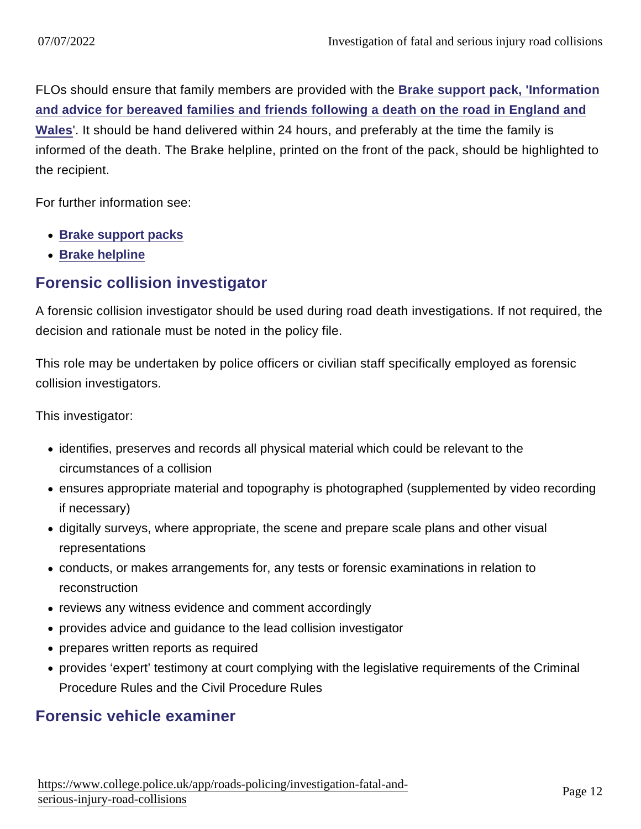FLOs should ensure that family members are provided with the [Brake support pack, 'Information](http://www.brake.org.uk/assets/docs/Help_for_victims/EWbereavementpack12-13-procedures.pdf) [and advice for bereaved families and friends following a death on the road in England and](http://www.brake.org.uk/assets/docs/Help_for_victims/EWbereavementpack12-13-procedures.pdf) [Wales](http://www.brake.org.uk/assets/docs/Help_for_victims/EWbereavementpack12-13-procedures.pdf)'. It should be hand delivered within 24 hours, and preferably at the time the family is informed of the death. The Brake helpline, printed on the front of the pack, should be highlighted to the recipient.

For further information see:

- [Brake support packs](http://www.brake.org.uk/victims/victimhelp/online-support-guides)
- [Brake helpline](http://www.brake.org.uk/victims/victimhelp/helpline)

#### Forensic collision investigator

A forensic collision investigator should be used during road death investigations. If not required, the decision and rationale must be noted in the policy file.

This role may be undertaken by police officers or civilian staff specifically employed as forensic collision investigators.

This investigator:

- identifies, preserves and records all physical material which could be relevant to the circumstances of a collision
- ensures appropriate material and topography is photographed (supplemented by video recording if necessary)
- digitally surveys, where appropriate, the scene and prepare scale plans and other visual representations
- conducts, or makes arrangements for, any tests or forensic examinations in relation to reconstruction
- reviews any witness evidence and comment accordingly
- provides advice and guidance to the lead collision investigator
- prepares written reports as required
- provides 'expert' testimony at court complying with the legislative requirements of the Criminal Procedure Rules and the Civil Procedure Rules

#### Forensic vehicle examiner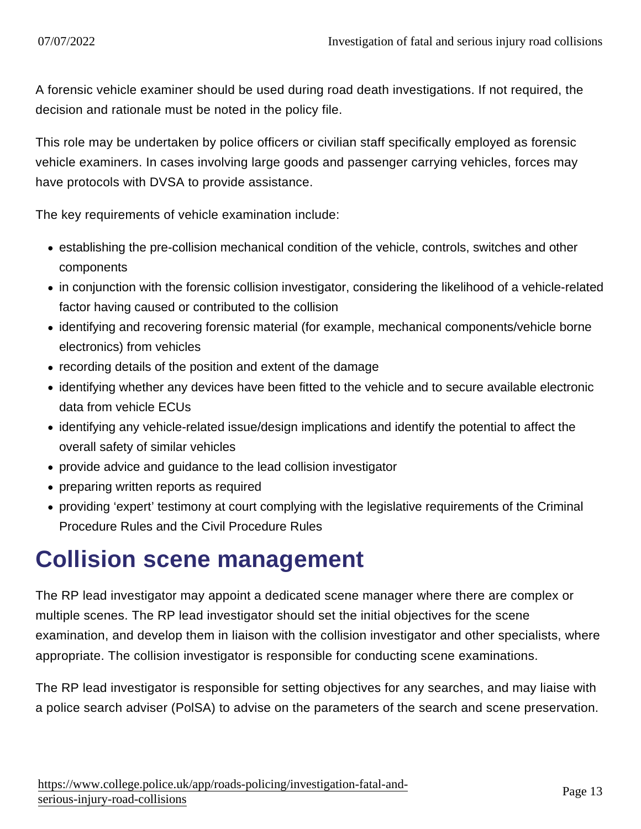A forensic vehicle examiner should be used during road death investigations. If not required, the decision and rationale must be noted in the policy file.

This role may be undertaken by police officers or civilian staff specifically employed as forensic vehicle examiners. In cases involving large goods and passenger carrying vehicles, forces may have protocols with DVSA to provide assistance.

The key requirements of vehicle examination include:

- establishing the pre-collision mechanical condition of the vehicle, controls, switches and other components
- in conjunction with the forensic collision investigator, considering the likelihood of a vehicle-related factor having caused or contributed to the collision
- identifying and recovering forensic material (for example, mechanical components/vehicle borne electronics) from vehicles
- recording details of the position and extent of the damage
- identifying whether any devices have been fitted to the vehicle and to secure available electronic data from vehicle ECUs
- identifying any vehicle-related issue/design implications and identify the potential to affect the overall safety of similar vehicles
- provide advice and guidance to the lead collision investigator
- preparing written reports as required
- providing 'expert' testimony at court complying with the legislative requirements of the Criminal Procedure Rules and the Civil Procedure Rules

# Collision scene management

The RP lead investigator may appoint a dedicated scene manager where there are complex or multiple scenes. The RP lead investigator should set the initial objectives for the scene examination, and develop them in liaison with the collision investigator and other specialists, where appropriate. The collision investigator is responsible for conducting scene examinations.

The RP lead investigator is responsible for setting objectives for any searches, and may liaise with a police search adviser (PolSA) to advise on the parameters of the search and scene preservation.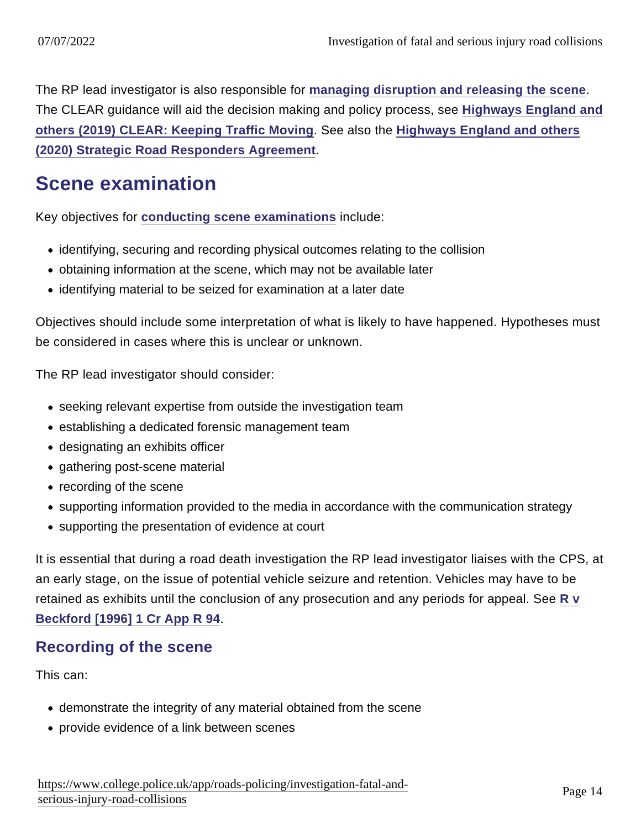The RP lead investigator is also responsible for [managing disruption and releasing the scene](https://www.app.college.police.uk/app-content/road-policing-2/investigating-road-deaths/#managing-disruption-and-releasing-the-scene) The CLEAR guidance will aid the decision making and policy process, see [Highways England and](https://library.college.police.uk/docs/APPref/CLEAR-Leaflet-March-2019.pdf) [others \(2019\) CLEAR: Keeping Traffic Moving](https://library.college.police.uk/docs/APPref/CLEAR-Leaflet-March-2019.pdf) . See also the [Highways England and others](https://library.college.police.uk/docs/APPref/Strategic-Road-Responders-Agreement-2020.pdf) [\(2020\) Strategic Road Responders Agreement](https://library.college.police.uk/docs/APPref/Strategic-Road-Responders-Agreement-2020.pdf) .

### Scene examination

Key objectives for [conducting scene examinations](https://www.app.college.police.uk/app-content/road-policing-2/investigating-road-deaths/#conducting-scene-examinations) include:

- identifying, securing and recording physical outcomes relating to the collision
- obtaining information at the scene, which may not be available later
- identifying material to be seized for examination at a later date

Objectives should include some interpretation of what is likely to have happened. Hypotheses must be considered in cases where this is unclear or unknown.

The RP lead investigator should consider:

- seeking relevant expertise from outside the investigation team
- establishing a dedicated forensic management team
- designating an exhibits officer
- gathering post-scene material
- recording of the scene
- supporting information provided to the media in accordance with the communication strategy
- supporting the presentation of evidence at court

It is essential that during a road death investigation the RP lead investigator liaises with the CPS, at an early stage, on the issue of potential vehicle seizure and retention. Vehicles may have to be retained as exhibits until the conclusion of any prosecution and any periods for appeal. See [R v](http://www.bailii.org/ew/cases/EWCA/Crim/1994/4.html) [Beckford \[1996\] 1 Cr App R 94](http://www.bailii.org/ew/cases/EWCA/Crim/1994/4.html) .

#### Recording of the scene

This can:

- demonstrate the integrity of any material obtained from the scene
- provide evidence of a link between scenes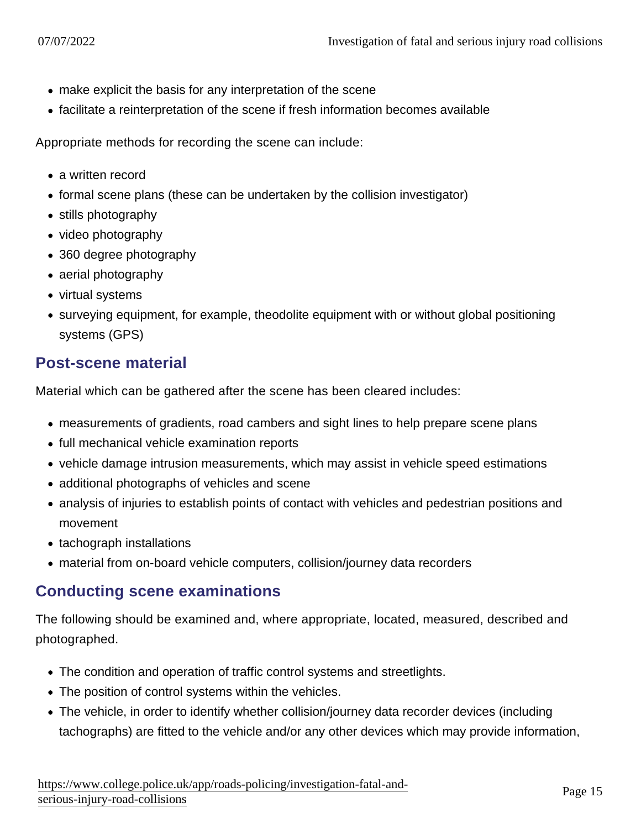- make explicit the basis for any interpretation of the scene
- facilitate a reinterpretation of the scene if fresh information becomes available

Appropriate methods for recording the scene can include:

- a written record
- formal scene plans (these can be undertaken by the collision investigator)
- stills photography
- video photography
- 360 degree photography
- aerial photography
- virtual systems
- surveying equipment, for example, theodolite equipment with or without global positioning systems (GPS)

#### Post-scene material

Material which can be gathered after the scene has been cleared includes:

- measurements of gradients, road cambers and sight lines to help prepare scene plans
- full mechanical vehicle examination reports
- vehicle damage intrusion measurements, which may assist in vehicle speed estimations
- additional photographs of vehicles and scene
- analysis of injuries to establish points of contact with vehicles and pedestrian positions and movement
- tachograph installations
- material from on-board vehicle computers, collision/journey data recorders

#### Conducting scene examinations

The following should be examined and, where appropriate, located, measured, described and photographed.

- The condition and operation of traffic control systems and streetlights.
- The position of control systems within the vehicles.
- The vehicle, in order to identify whether collision/journey data recorder devices (including tachographs) are fitted to the vehicle and/or any other devices which may provide information,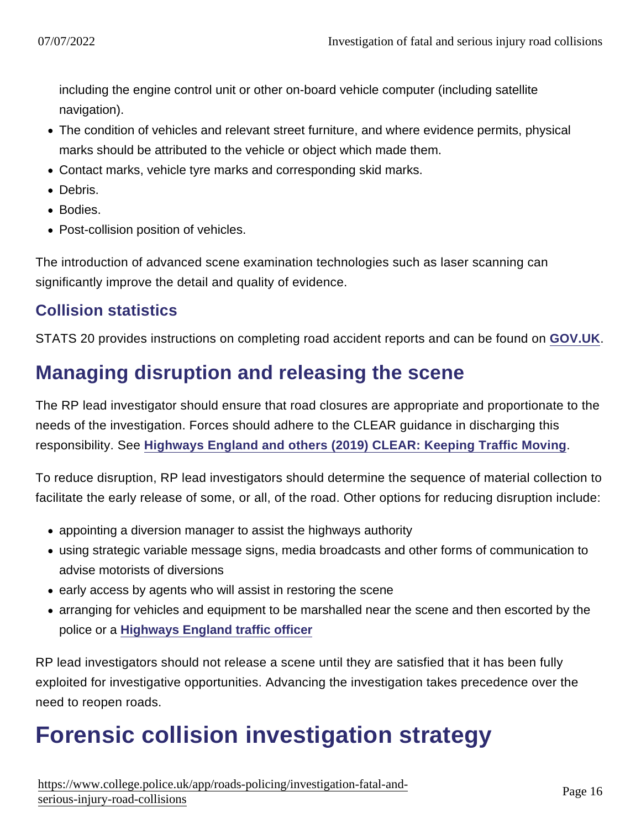including the engine control unit or other on-board vehicle computer (including satellite navigation).

- The condition of vehicles and relevant street furniture, and where evidence permits, physical marks should be attributed to the vehicle or object which made them.
- Contact marks, vehicle tyre marks and corresponding skid marks.
- Debris.
- Bodies.
- Post-collision position of vehicles.

The introduction of advanced scene examination technologies such as laser scanning can significantly improve the detail and quality of evidence.

#### Collision statistics

STATS 20 provides instructions on completing road accident reports and can be found on [GOV.UK.](https://www.gov.uk/government/uploads/system/uploads/attachment_data/file/230596/stats20-2011.pdf)

### Managing disruption and releasing the scene

The RP lead investigator should ensure that road closures are appropriate and proportionate to the needs of the investigation. Forces should adhere to the CLEAR guidance in discharging this responsibility. See [Highways England and others \(2019\) CLEAR: Keeping Traffic Moving](https://library.college.police.uk/docs/APPref/CLEAR-Leaflet-March-2019.pdf) .

To reduce disruption, RP lead investigators should determine the sequence of material collection to facilitate the early release of some, or all, of the road. Other options for reducing disruption include:

- appointing a diversion manager to assist the highways authority
- using strategic variable message signs, media broadcasts and other forms of communication to advise motorists of diversions
- early access by agents who will assist in restoring the scene
- arranging for vehicles and equipment to be marshalled near the scene and then escorted by the police or a [Highways England traffic officer](https://www.app.college.police.uk/app-content/road-policing-2/partner-agencies/#highways-england-traffic-officers)

RP lead investigators should not release a scene until they are satisfied that it has been fully exploited for investigative opportunities. Advancing the investigation takes precedence over the need to reopen roads.

# Forensic collision investigation strategy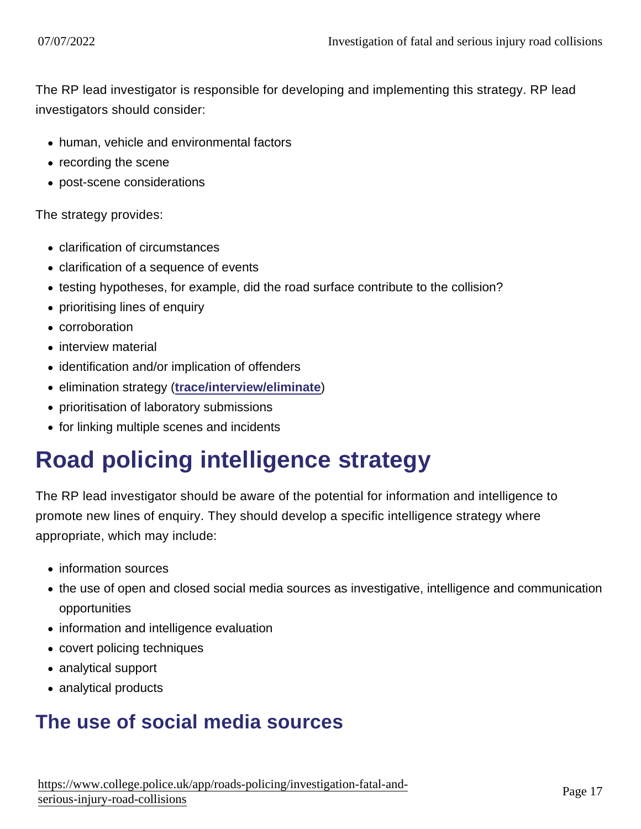The RP lead investigator is responsible for developing and implementing this strategy. RP lead investigators should consider:

- human, vehicle and environmental factors
- recording the scene
- post-scene considerations

The strategy provides:

- clarification of circumstances
- clarification of a sequence of events
- testing hypotheses, for example, did the road surface contribute to the collision?
- prioritising lines of enquiry
- corroboration
- interview material
- identification and/or implication of offenders
- elimination strategy [\(trace/interview/eliminate](https://www.app.college.police.uk/app-content/investigations/working-with-suspects/))
- prioritisation of laboratory submissions
- for linking multiple scenes and incidents

# Road policing intelligence strategy

The RP lead investigator should be aware of the potential for information and intelligence to promote new lines of enquiry. They should develop a specific intelligence strategy where appropriate, which may include:

- information sources
- the use of open and closed social media sources as investigative, intelligence and communication opportunities
- information and intelligence evaluation
- covert policing techniques
- analytical support
- analytical products

## The use of social media sources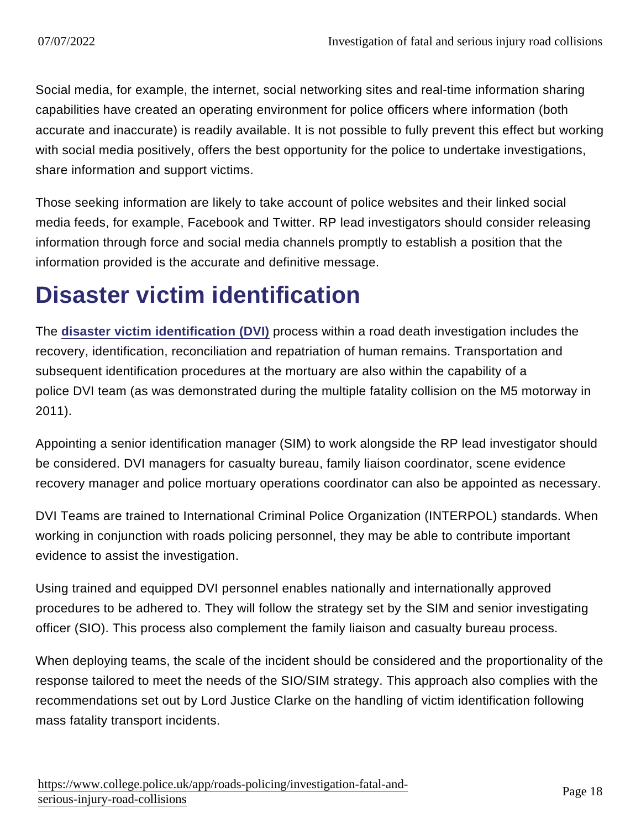Social media, for example, the internet, social networking sites and real-time information sharing capabilities have created an operating environment for police officers where information (both accurate and inaccurate) is readily available. It is not possible to fully prevent this effect but working with social media positively, offers the best opportunity for the police to undertake investigations, share information and support victims.

Those seeking information are likely to take account of police websites and their linked social media feeds, for example, Facebook and Twitter. RP lead investigators should consider releasing information through force and social media channels promptly to establish a position that the information provided is the accurate and definitive message.

# Disaster victim identification

The [disaster victim identification \(DVI\)](https://www.app.college.police.uk/app-content/civil-contingencies/disaster-victim-identification/) process within a road death investigation includes the recovery, identification, reconciliation and repatriation of human remains. Transportation and subsequent identification procedures at the mortuary are also within the capability of a police DVI team (as was demonstrated during the multiple fatality collision on the M5 motorway in 2011).

Appointing a senior identification manager (SIM) to work alongside the RP lead investigator should be considered. DVI managers for casualty bureau, family liaison coordinator, scene evidence recovery manager and police mortuary operations coordinator can also be appointed as necessary.

DVI Teams are trained to International Criminal Police Organization (INTERPOL) standards. When working in conjunction with roads policing personnel, they may be able to contribute important evidence to assist the investigation.

Using trained and equipped DVI personnel enables nationally and internationally approved procedures to be adhered to. They will follow the strategy set by the SIM and senior investigating officer (SIO). This process also complement the family liaison and casualty bureau process.

When deploying teams, the scale of the incident should be considered and the proportionality of the response tailored to meet the needs of the SIO/SIM strategy. This approach also complies with the recommendations set out by Lord Justice Clarke on the handling of victim identification following mass fatality transport incidents.